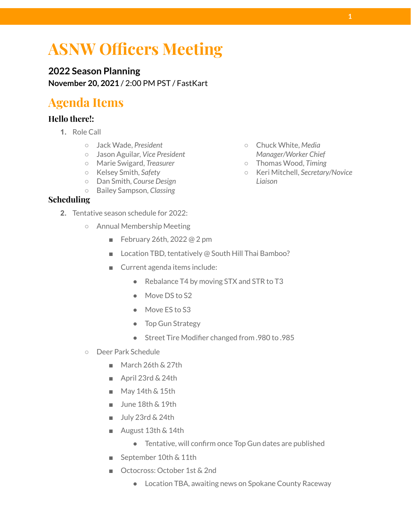# **ASNW Officers Meeting**

**2022 Season Planning November 20, 2021** / 2:00 PM PST / FastKart

## **Agenda Items**

#### **Hello there!:**

- **1.** Role Call
	- Jack Wade, *President*
	- Jason Aguilar, *Vice President*
	- Marie Swigard, *Treasurer*
	- Kelsey Smith, *Safety*
	- Dan Smith, *Course Design*
	- Bailey Sampson, *Classing*

#### **Scheduling**

- **2.** Tentative season schedule for 2022:
	- Annual Membership Meeting
		- February 26th, 2022 @ 2 pm
		- Location TBD, tentatively @ South Hill Thai Bamboo?
		- Current agenda items include:
			- Rebalance T4 by moving STX and STR to T3
			- Move DS to S2
			- Move ES to S3
			- Top Gun Strategy
			- Street Tire Modifier changed from .980 to .985
	- Deer Park Schedule
		- March 26th & 27th
		- April 23rd & 24th
		- May 14th & 15th
		- June 18th & 19th
		- July 23rd & 24th
		- August 13th & 14th
			- Tentative, will confirm once Top Gun dates are published
		- September 10th & 11th
		- Octocross: October 1st & 2nd
			- Location TBA, awaiting news on Spokane County Raceway
- Chuck White, *Media Manager/Worker Chief*
- Thomas Wood, *Timing*
- Keri Mitchell, *Secretary/Novice Liaison*